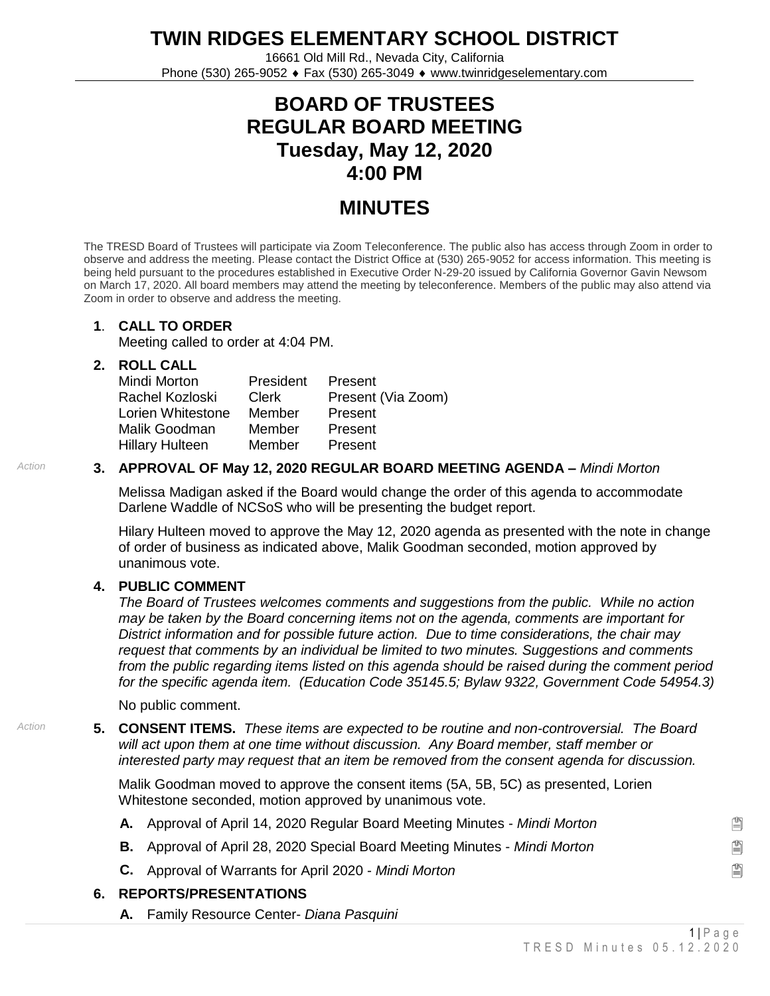**TWIN RIDGES ELEMENTARY SCHOOL DISTRICT**

16661 Old Mill Rd., Nevada City, California Phone (530) 265-9052 Fax (530) 265-3049 www.twinridgeselementary.com

# **BOARD OF TRUSTEES REGULAR BOARD MEETING Tuesday, May 12, 2020 4:00 PM**

## **MINUTES**

The TRESD Board of Trustees will participate via Zoom Teleconference. The public also has access through Zoom in order to observe and address the meeting. Please contact the District Office at (530) 265-9052 for access information. This meeting is being held pursuant to the procedures established in Executive Order N-29-20 issued by California Governor Gavin Newsom on March 17, 2020. All board members may attend the meeting by teleconference. Members of the public may also attend via Zoom in order to observe and address the meeting.

#### **1**. **CALL TO ORDER**

Meeting called to order at 4:04 PM.

#### **2. ROLL CALL**

| Mindi Morton           | President    | Present            |
|------------------------|--------------|--------------------|
| Rachel Kozloski        | <b>Clerk</b> | Present (Via Zoom) |
| Lorien Whitestone      | Member       | Present            |
| Malik Goodman          | Member       | Present            |
| <b>Hillary Hulteen</b> | Member       | Present            |

#### *Action* **3. APPROVAL OF May 12, 2020 REGULAR BOARD MEETING AGENDA –** *Mindi Morton*

Melissa Madigan asked if the Board would change the order of this agenda to accommodate Darlene Waddle of NCSoS who will be presenting the budget report.

Hilary Hulteen moved to approve the May 12, 2020 agenda as presented with the note in change of order of business as indicated above, Malik Goodman seconded, motion approved by unanimous vote.

#### **4. PUBLIC COMMENT**

*The Board of Trustees welcomes comments and suggestions from the public. While no action may be taken by the Board concerning items not on the agenda, comments are important for District information and for possible future action. Due to time considerations, the chair may request that comments by an individual be limited to two minutes. Suggestions and comments from the public regarding items listed on this agenda should be raised during the comment period for the specific agenda item. (Education Code 35145.5; Bylaw 9322, Government Code 54954.3)*

No public comment.

*Action* **5. CONSENT ITEMS.** *These items are expected to be routine and non-controversial. The Board will act upon them at one time without discussion. Any Board member, staff member or interested party may request that an item be removed from the consent agenda for discussion.*

> Malik Goodman moved to approve the consent items (5A, 5B, 5C) as presented, Lorien Whitestone seconded, motion approved by unanimous vote.

- **A.** Approval of April 14, 2020 Regular Board Meeting Minutes *Mindi Morton*
- **B.** Approval of April 28, 2020 Special Board Meeting Minutes *Mindi Morton*
- **C.** Approval of Warrants for April 2020 *Mindi Morton*

#### **6. REPORTS/PRESENTATIONS**

**A.** Family Resource Center- *Diana Pasquini*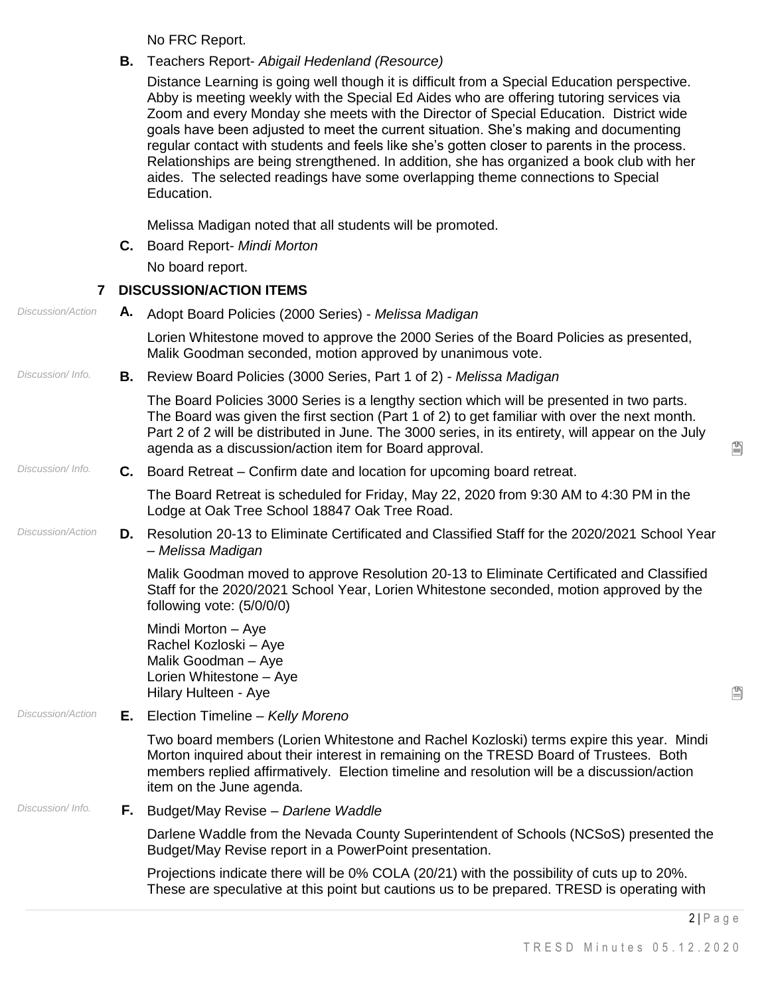No FRC Report.

**B.** Teachers Report- *Abigail Hedenland (Resource)*

Distance Learning is going well though it is difficult from a Special Education perspective. Abby is meeting weekly with the Special Ed Aides who are offering tutoring services via Zoom and every Monday she meets with the Director of Special Education. District wide goals have been adjusted to meet the current situation. She's making and documenting regular contact with students and feels like she's gotten closer to parents in the process. Relationships are being strengthened. In addition, she has organized a book club with her aides. The selected readings have some overlapping theme connections to Special Education.

Melissa Madigan noted that all students will be promoted.

**C.** Board Report- *Mindi Morton*

No board report.

## **7 DISCUSSION/ACTION ITEMS**

| <b>Discussion/Action</b>       |                                                                                                                                                                                                                                                                                                                                                            | A. Adopt Board Policies (2000 Series) - Melissa Madigan                                                                                                                                                                                                                                                      |  |
|--------------------------------|------------------------------------------------------------------------------------------------------------------------------------------------------------------------------------------------------------------------------------------------------------------------------------------------------------------------------------------------------------|--------------------------------------------------------------------------------------------------------------------------------------------------------------------------------------------------------------------------------------------------------------------------------------------------------------|--|
|                                | Lorien Whitestone moved to approve the 2000 Series of the Board Policies as presented,<br>Malik Goodman seconded, motion approved by unanimous vote.                                                                                                                                                                                                       |                                                                                                                                                                                                                                                                                                              |  |
| Discussion/Info.<br>В.         | Review Board Policies (3000 Series, Part 1 of 2) - Melissa Madigan                                                                                                                                                                                                                                                                                         |                                                                                                                                                                                                                                                                                                              |  |
|                                | The Board Policies 3000 Series is a lengthy section which will be presented in two parts.<br>The Board was given the first section (Part 1 of 2) to get familiar with over the next month.<br>Part 2 of 2 will be distributed in June. The 3000 series, in its entirety, will appear on the July<br>agenda as a discussion/action item for Board approval. | Ë                                                                                                                                                                                                                                                                                                            |  |
| Discussion/Info.               | <b>C.</b> Board Retreat – Confirm date and location for upcoming board retreat.                                                                                                                                                                                                                                                                            |                                                                                                                                                                                                                                                                                                              |  |
|                                | The Board Retreat is scheduled for Friday, May 22, 2020 from 9:30 AM to 4:30 PM in the<br>Lodge at Oak Tree School 18847 Oak Tree Road.                                                                                                                                                                                                                    |                                                                                                                                                                                                                                                                                                              |  |
| <b>Discussion/Action</b><br>D. | Resolution 20-13 to Eliminate Certificated and Classified Staff for the 2020/2021 School Year<br>- Melissa Madigan                                                                                                                                                                                                                                         |                                                                                                                                                                                                                                                                                                              |  |
|                                | Malik Goodman moved to approve Resolution 20-13 to Eliminate Certificated and Classified<br>Staff for the 2020/2021 School Year, Lorien Whitestone seconded, motion approved by the<br>following vote: (5/0/0/0)                                                                                                                                           |                                                                                                                                                                                                                                                                                                              |  |
|                                |                                                                                                                                                                                                                                                                                                                                                            | Mindi Morton - Aye<br>Rachel Kozloski - Aye<br>Malik Goodman - Aye<br>Lorien Whitestone - Aye<br>Hilary Hulteen - Aye                                                                                                                                                                                        |  |
| <b>Discussion/Action</b>       |                                                                                                                                                                                                                                                                                                                                                            | <b>E.</b> Election Timeline - Kelly Moreno                                                                                                                                                                                                                                                                   |  |
|                                |                                                                                                                                                                                                                                                                                                                                                            | Two board members (Lorien Whitestone and Rachel Kozloski) terms expire this year. Mindi<br>Morton inquired about their interest in remaining on the TRESD Board of Trustees. Both<br>members replied affirmatively. Election timeline and resolution will be a discussion/action<br>item on the June agenda. |  |
| Discussion/Info.               | F.,                                                                                                                                                                                                                                                                                                                                                        | Budget/May Revise - Darlene Waddle                                                                                                                                                                                                                                                                           |  |
|                                |                                                                                                                                                                                                                                                                                                                                                            | Darlene Waddle from the Nevada County Superintendent of Schools (NCSoS) presented the<br>Budget/May Revise report in a PowerPoint presentation.                                                                                                                                                              |  |
|                                |                                                                                                                                                                                                                                                                                                                                                            | Projections indicate there will be 0% COLA (20/21) with the possibility of cuts up to 20%.<br>These are speculative at this point but cautions us to be prepared. TRESD is operating with                                                                                                                    |  |
|                                |                                                                                                                                                                                                                                                                                                                                                            | $2 P \text{ age}$                                                                                                                                                                                                                                                                                            |  |

阊

 $\mathbb{P}$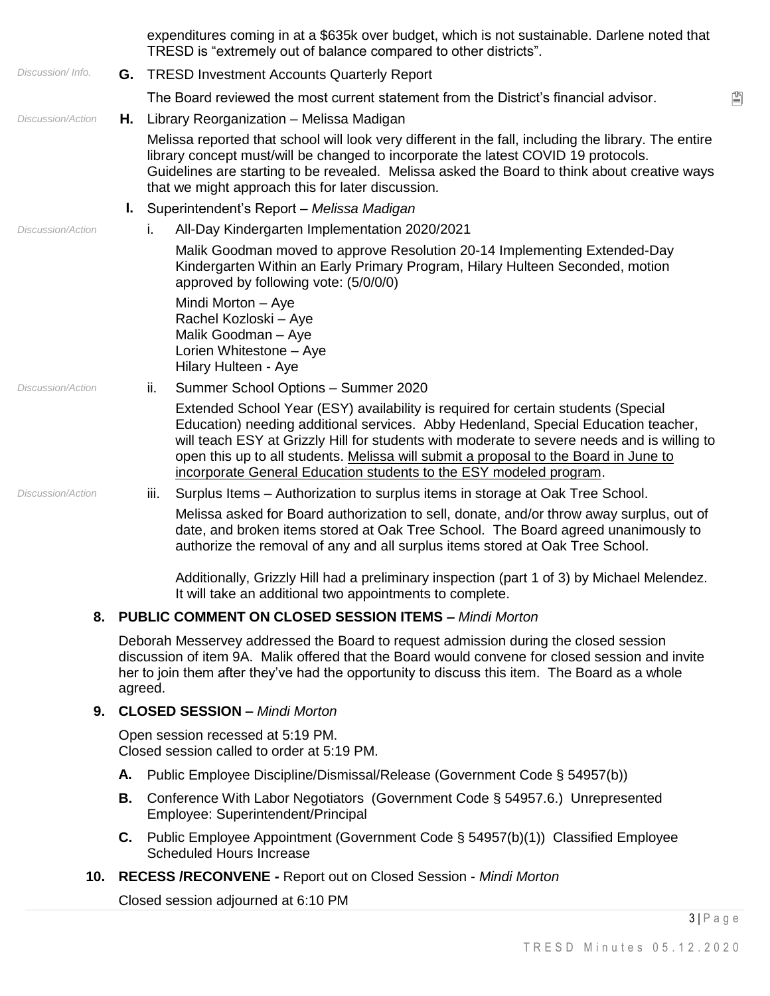expenditures coming in at a \$635k over budget, which is not sustainable. Darlene noted that TRESD is "extremely out of balance compared to other districts". *Discussion/ Info.* **G.** TRESD Investment Accounts Quarterly Report The Board reviewed the most current statement from the District's financial advisor. *Discussion/Action* **H.** Library Reorganization – Melissa Madigan Melissa reported that school will look very different in the fall, including the library. The entire library concept must/will be changed to incorporate the latest COVID 19 protocols. Guidelines are starting to be revealed. Melissa asked the Board to think about creative ways that we might approach this for later discussion. **I.** Superintendent's Report – *Melissa Madigan Discussion/Action* i. All-Day Kindergarten Implementation 2020/2021 Malik Goodman moved to approve Resolution 20-14 Implementing Extended-Day Kindergarten Within an Early Primary Program, Hilary Hulteen Seconded, motion approved by following vote: (5/0/0/0) Mindi Morton – Aye Rachel Kozloski – Aye Malik Goodman – Aye Lorien Whitestone – Aye Hilary Hulteen - Aye *Discussion/Action* ii. Summer School Options – Summer 2020 Extended School Year (ESY) availability is required for certain students (Special Education) needing additional services. Abby Hedenland, Special Education teacher, will teach ESY at Grizzly Hill for students with moderate to severe needs and is willing to open this up to all students. Melissa will submit a proposal to the Board in June to incorporate General Education students to the ESY modeled program. *Discussion/Action* iii. Surplus Items – Authorization to surplus items in storage at Oak Tree School. Melissa asked for Board authorization to sell, donate, and/or throw away surplus, out of date, and broken items stored at Oak Tree School. The Board agreed unanimously to authorize the removal of any and all surplus items stored at Oak Tree School. Additionally, Grizzly Hill had a preliminary inspection (part 1 of 3) by Michael Melendez. It will take an additional two appointments to complete. **8. PUBLIC COMMENT ON CLOSED SESSION ITEMS –** *Mindi Morton* Deborah Messervey addressed the Board to request admission during the closed session discussion of item 9A. Malik offered that the Board would convene for closed session and invite her to join them after they've had the opportunity to discuss this item. The Board as a whole agreed. **9. CLOSED SESSION –** *Mindi Morton* Open session recessed at 5:19 PM. Closed session called to order at 5:19 PM. **A.** Public Employee Discipline/Dismissal/Release (Government Code § 54957(b)) **B.** Conference With Labor Negotiators (Government Code § 54957.6.) Unrepresented Employee: Superintendent/Principal **C.** Public Employee Appointment (Government Code § 54957(b)(1)) Classified Employee Scheduled Hours Increase **10. RECESS /RECONVENE** *-* Report out on Closed Session - *Mindi Morton* Closed session adjourned at 6:10 PM

 $3|P$  a g e

鲁